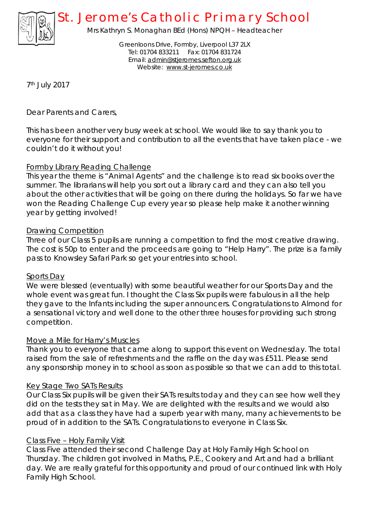

# *St. Jerome's Catholic Primary School*

Mrs Kathryn S. Monaghan BEd (Hons) NPQH – Headteacher

Greenloons Drive, Formby, Liverpool L37 2LX Tel: 01704 833211 Fax: 01704 831724 Email: [admin@stjeromes.sefton.org.uk](mailto:admin@stjeromes.sefton.org.uk) Website: [www.st-jeromes.co.uk](http://www.st-jeromes.co.uk)

7th July 2017

Dear Parents and Carers,

This has been another very busy week at school. We would like to say thank you to everyone for their support and contribution to all the events that have taken place - we couldn't do it without you!

# Formby Library Reading Challenge

This year the theme is "Animal Agents" and the challenge is to read six books over the summer. The librarians will help you sort out a library card and they can also tell you about the other activities that will be going on there during the holidays. So far we have won the Reading Challenge Cup every year so please help make it another winning year by getting involved!

# Drawing Competition

Three of our Class 5 pupils are running a competition to find the most creative drawing. The cost is 50p to enter and the proceeds are going to "Help Harry". The prize is a family pass to Knowsley Safari Park so get your entries into school.

## Sports Day

We were blessed (eventually) with some beautiful weather for our Sports Day and the whole event was great fun. I thought the Class Six pupils were fabulous in all the help they gave to the Infants including the super announcers. Congratulations to Almond for a sensational victory and well done to the other three houses for providing such strong competition.

## Move a Mile for Harry's Muscles

Thank you to everyone that came along to support this event on Wednesday. The total raised from the sale of refreshments and the raffle on the day was £511. Please send any sponsorship money in to school as soon as possible so that we can add to this total.

## Key Stage Two SATs Results

Our Class Six pupils will be given their SATs results today and they can see how well they did on the tests they sat in May. We are delighted with the results and we would also add that as a class they have had a superb year with many, many achievements to be proud of in addition to the SATs. Congratulations to everyone in Class Six.

## Class Five – Holy Family Visit

Class Five attended their second Challenge Day at Holy Family High School on Thursday. The children got involved in Maths, P.E., Cookery and Art and had a brilliant day. We are really grateful for this opportunity and proud of our continued link with Holy Family High School.